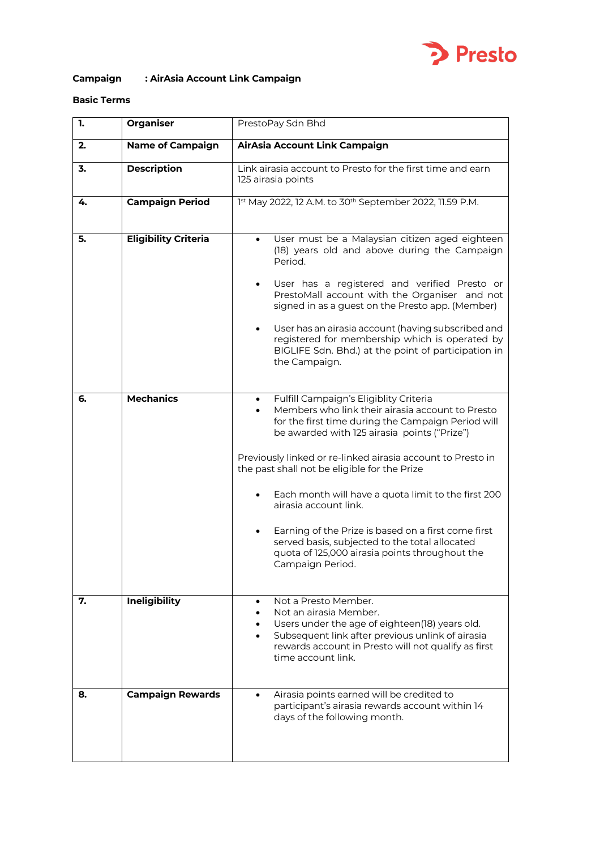

# **Campaign : AirAsia Account Link Campaign**

## **Basic Terms**

| 1. | <b>Organiser</b>            | PrestoPay Sdn Bhd                                                                                                                                                                                                                                                                                                                                                                                                                                                                                                                                                              |
|----|-----------------------------|--------------------------------------------------------------------------------------------------------------------------------------------------------------------------------------------------------------------------------------------------------------------------------------------------------------------------------------------------------------------------------------------------------------------------------------------------------------------------------------------------------------------------------------------------------------------------------|
| 2. | <b>Name of Campaign</b>     | AirAsia Account Link Campaign                                                                                                                                                                                                                                                                                                                                                                                                                                                                                                                                                  |
| 3. | <b>Description</b>          | Link airasia account to Presto for the first time and earn<br>125 airasia points                                                                                                                                                                                                                                                                                                                                                                                                                                                                                               |
| 4. | <b>Campaign Period</b>      | 1st May 2022, 12 A.M. to 30 <sup>th</sup> September 2022, 11.59 P.M.                                                                                                                                                                                                                                                                                                                                                                                                                                                                                                           |
| 5. | <b>Eligibility Criteria</b> | User must be a Malaysian citizen aged eighteen<br>$\bullet$<br>(18) years old and above during the Campaign<br>Period.<br>User has a registered and verified Presto or<br>PrestoMall account with the Organiser and not<br>signed in as a guest on the Presto app. (Member)<br>User has an airasia account (having subscribed and<br>registered for membership which is operated by<br>BIGLIFE Sdn. Bhd.) at the point of participation in<br>the Campaign.                                                                                                                    |
| 6. | <b>Mechanics</b>            | Fulfill Campaign's Eligiblity Criteria<br>Members who link their airasia account to Presto<br>for the first time during the Campaign Period will<br>be awarded with 125 airasia points ("Prize")<br>Previously linked or re-linked airasia account to Presto in<br>the past shall not be eligible for the Prize<br>Each month will have a quota limit to the first 200<br>airasia account link.<br>Earning of the Prize is based on a first come first<br>served basis, subjected to the total allocated<br>quota of 125,000 airasia points throughout the<br>Campaign Period. |
| 7. | <b>Ineligibility</b>        | Not a Presto Member.<br>Not an airasia Member.<br>Users under the age of eighteen(18) years old.<br>Subsequent link after previous unlink of airasia<br>rewards account in Presto will not qualify as first<br>time account link.                                                                                                                                                                                                                                                                                                                                              |
| 8. | <b>Campaign Rewards</b>     | Airasia points earned will be credited to<br>$\bullet$<br>participant's airasia rewards account within 14<br>days of the following month.                                                                                                                                                                                                                                                                                                                                                                                                                                      |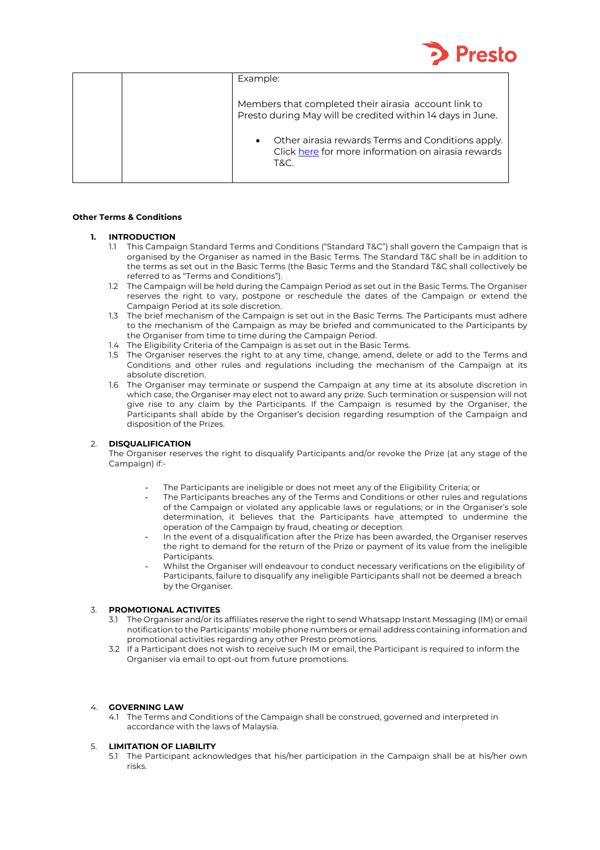

| Example:                                                                                                                     |
|------------------------------------------------------------------------------------------------------------------------------|
| Members that completed their airasia account link to<br>Presto during May will be credited within 14 days in June.           |
| Other airasia rewards Terms and Conditions apply.<br>$\bullet$<br>Click here for more information on airasia rewards<br>T&C. |

### **Other Terms & Conditions**

#### **1. INTRODUCTION**

- 1.1 This Campaign Standard Terms and Conditions ("Standard T&C") shall govern the Campaign that is organised by the Organiser as named in the Basic Terms. The Standard T&C shall be in addition to the terms as set out in the Basic Terms (the Basic Terms and the Standard T&C shall collectively be referred to as "Terms and Conditions").
- 1.2 The Campaign will be held during the Campaign Period as set out in the Basic Terms. The Organiser reserves the right to vary, postpone or reschedule the dates of the Campaign or extend the Campaign Period at its sole discretion.
- 1.3 The brief mechanism of the Campaign is set out in the Basic Terms. The Participants must adhere to the mechanism of the Campaign as may be briefed and communicated to the Participants by the Organiser from time to time during the Campaign Period.
- 1.4 The Eligibility Criteria of the Campaign is as set out in the Basic Terms.
- 1.5 The Organiser reserves the right to at any time, change, amend, delete or add to the Terms and Conditions and other rules and regulations including the mechanism of the Campaign at its absolute discretion.
- 1.6 The Organiser may terminate or suspend the Campaign at any time at its absolute discretion in which case, the Organiser may elect not to award any prize. Such termination or suspension will not give rise to any claim by the Participants. If the Campaign is resumed by the Organiser, the Participants shall abide by the Organiser's decision regarding resumption of the Campaign and disposition of the Prizes.

#### 2. **DISQUALIFICATION**

The Organiser reserves the right to disqualify Participants and/or revoke the Prize (at any stage of the Campaign) if:-

- The Participants are ineligible or does not meet any of the Eligibility Criteria; or
- The Participants breaches any of the Terms and Conditions or other rules and regulations of the Campaign or violated any applicable laws or regulations; or in the Organiser's sole determination, it believes that the Participants have attempted to undermine the operation of the Campaign by fraud, cheating or deception.
- In the event of a disqualification after the Prize has been awarded, the Organiser reserves the right to demand for the return of the Prize or payment of its value from the ineligible Participants.
- Whilst the Organiser will endeavour to conduct necessary verifications on the eligibility of Participants, failure to disqualify any ineligible Participants shall not be deemed a breach by the Organiser.

#### 3. **PROMOTIONAL ACTIVITES**

- 3.1 The Organiser and/or its affiliates reserve the right to send Whatsapp Instant Messaging (IM) or email notification to the Participants' mobile phone numbers or email address containing information and promotional activities regarding any other Presto promotions.
- 3.2 If a Participant does not wish to receive such IM or email, the Participant is required to inform the Organiser via email to opt-out from future promotions.

#### 4. **GOVERNING LAW**

4.1 The Terms and Conditions of the Campaign shall be construed, governed and interpreted in accordance with the laws of Malaysia.

#### 5. **LIMITATION OF LIABILITY**

5.1 The Participant acknowledges that his/her participation in the Campaign shall be at his/her own risks.